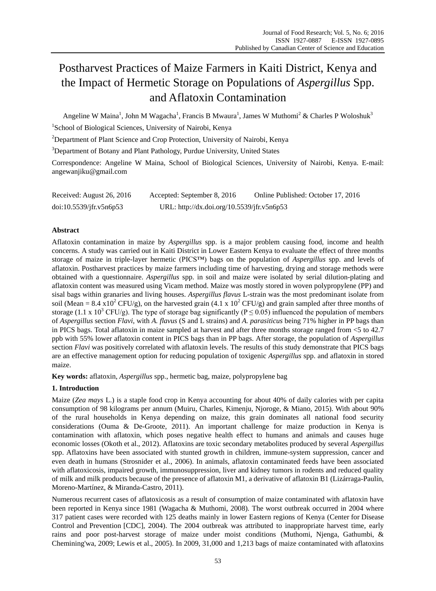# Postharvest Practices of Maize Farmers in Kaiti District, Kenya and the Impact of Hermetic Storage on Populations of *Aspergillus* Spp. and Aflatoxin Contamination

Angeline W Maina<sup>1</sup>, John M Wagacha<sup>1</sup>, Francis B Mwaura<sup>1</sup>, James W Muthomi<sup>2</sup> & Charles P Woloshuk<sup>3</sup>

<sup>1</sup>School of Biological Sciences, University of Nairobi, Kenya

<sup>2</sup>Department of Plant Science and Crop Protection, University of Nairobi, Kenya

<sup>3</sup>Department of Botany and Plant Pathology, Purdue University, United States

Correspondence: Angeline W Maina, School of Biological Sciences, University of Nairobi, Kenya. E-mail: angewanjiku@gmail.com

| Received: August 26, 2016 | Accepted: September 8, 2016                | Online Published: October 17, 2016 |
|---------------------------|--------------------------------------------|------------------------------------|
| doi:10.5539/jfr.v5n6p53   | URL: http://dx.doi.org/10.5539/jfr.v5n6p53 |                                    |

# **Abstract**

Aflatoxin contamination in maize by *Aspergillus* spp. is a major problem causing food, income and health concerns. A study was carried out in Kaiti District in Lower Eastern Kenya to evaluate the effect of three months storage of maize in triple-layer hermetic (PICS™) bags on the population of *Aspergillus* spp. and levels of aflatoxin. Postharvest practices by maize farmers including time of harvesting, drying and storage methods were obtained with a questionnaire. *Aspergillus* spp. in soil and maize were isolated by serial dilution-plating and aflatoxin content was measured using Vicam method. Maize was mostly stored in woven polypropylene (PP) and sisal bags within granaries and living houses. *Aspergillus flavus* L-strain was the most predominant isolate from soil (Mean = 8.4 x10<sup>2</sup> CFU/g), on the harvested grain (4.1 x 10<sup>2</sup> CFU/g) and grain sampled after three months of storage (1.1 x 10<sup>3</sup> CFU/g). The type of storage bag significantly (P  $\leq$  0.05) influenced the population of members of *Aspergillus* section *Flavi*, with *A. flavus* (S and L strains) and *A. parasiticus* being 71% higher in PP bags than in PICS bags. Total aflatoxin in maize sampled at harvest and after three months storage ranged from <5 to 42.7 ppb with 55% lower aflatoxin content in PICS bags than in PP bags. After storage, the population of *Aspergillus* section *Flavi* was positively correlated with aflatoxin levels. The results of this study demonstrate that PICS bags are an effective management option for reducing population of toxigenic *Aspergillus* spp. and aflatoxin in stored maize.

**Key words:** aflatoxin, *Aspergillus* spp., hermetic bag, maize, polypropylene bag

# **1. Introduction**

Maize (*Zea mays* L.) is a staple food crop in Kenya accounting for about 40% of daily calories with per capita consumption of 98 kilograms per annum (Muiru*,* Charles, Kimenju, Njoroge, & Miano, 2015). With about 90% of the rural households in Kenya depending on maize, this grain dominates all national food security considerations (Ouma & De-Groote, 2011). An important challenge for maize production in Kenya is contamination with aflatoxin, which poses negative health effect to humans and animals and causes huge economic losses (Okoth et al., 2012). Aflatoxins are toxic secondary metabolites produced by several *Aspergillus* spp. Aflatoxins have been associated with stunted growth in children, immune-system suppression, cancer and even death in humans (Strosnider et al., 2006). In animals, aflatoxin contaminated feeds have been associated with aflatoxicosis, impaired growth, immunosuppression, liver and kidney tumors in rodents and reduced quality of milk and milk products because of the presence of aflatoxin M1, a derivative of aflatoxin B1 (Lizárraga-Paulín, Moreno-Mart ínez, & Miranda-Castro, 2011).

Numerous recurrent cases of aflatoxicosis as a result of consumption of maize contaminated with aflatoxin have been reported in Kenya since 1981 (Wagacha & Muthomi, 2008). The worst outbreak occurred in 2004 where 317 patient cases were recorded with 125 deaths mainly in lower Eastern regions of Kenya (Center for Disease Control and Prevention [CDC], 2004). The 2004 outbreak was attributed to inappropriate harvest time, early rains and poor post-harvest storage of maize under moist conditions (Muthomi, Njenga, Gathumbi, & Chemining'wa, 2009; Lewis et al., 2005). In 2009, 31,000 and 1,213 bags of maize contaminated with aflatoxins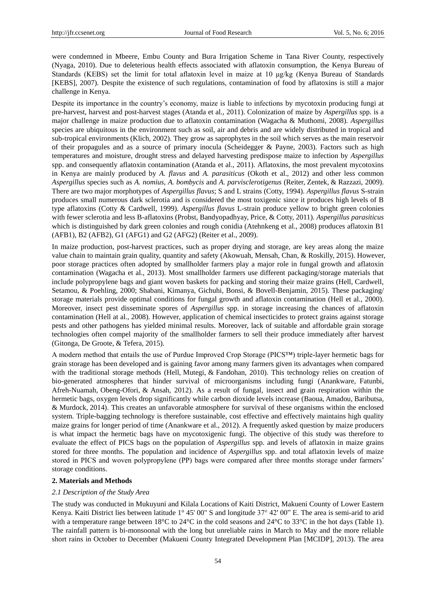were condemned in Mbeere, Embu County and Bura Irrigation Scheme in Tana River County, respectively (Nyaga, 2010). Due to deleterious health effects associated with aflatoxin consumption, the Kenya Bureau of Standards (KEBS) set the limit for total aflatoxin level in maize at 10 μg/kg (Kenya Bureau of Standards [KEBS], 2007). Despite the existence of such regulations, contamination of food by aflatoxins is still a major challenge in Kenya.

Despite its importance in the country's economy, maize is liable to infections by mycotoxin producing fungi at pre-harvest, harvest and post-harvest stages (Atanda et al., 2011). Colonization of maize by *Aspergillus* spp. is a major challenge in maize production due to aflatoxin contamination (Wagacha & Muthomi, 2008). *Aspergillus* species are ubiquitous in the environment such as soil, air and debris and are widely distributed in tropical and sub-tropical environments (Klich, 2002). They grow as saprophytes in the soil which serves as the main reservoir of their propagules and as a source of primary inocula (Scheidegger & Payne, 2003). Factors such as high temperatures and moisture, drought stress and delayed harvesting predispose maize to infection by *Aspergillus*  spp. and consequently aflatoxin contamination (Atanda et al., 2011). Aflatoxins, the most prevalent mycotoxins in Kenya are mainly produced by *A. fl*a*vus* and *A. parasiticus* (Okoth et al., 2012) and other less common *Aspergillus* species such as *A. nomius*, *A. bombycis* and *A. parvisclerotigenus* (Reiter, Zentek, & Razzazi, 2009). There are two major morphotypes of *Aspergillus flavus*; S and L strains (Cotty, 1994). *Aspergillus flavus* S-strain produces small numerous dark sclerotia and is considered the most toxigenic since it produces high levels of B type aflatoxins (Cotty & Cardwell, 1999). *Aspergillus flavus* L-strain produce yellow to bright green colonies with fewer sclerotia and less B-aflatoxins (Probst, Bandyopadhyay, Price, & Cotty, 2011). *Aspergillus parasiticus*  which is distinguished by dark green colonies and rough conidia (Atehnkeng et al., 2008) produces aflatoxin B1 (AFB1), B2 (AFB2), G1 (AFG1) and G2 (AFG2) (Reiter et al., 2009).

In maize production, post-harvest practices, such as proper drying and storage, are key areas along the maize value chain to maintain grain quality, quantity and safety (Akowuah, Mensah, Chan, & Roskilly, 2015). However, poor storage practices often adopted by smallholder farmers play a major role in fungal growth and aflatoxin contamination (Wagacha et al., 2013). Most smallholder farmers use different packaging/storage materials that include polypropylene bags and giant woven baskets for packing and storing their maize grains (Hell, Cardwell, Setamou, & Poehling, 2000; Shabani, Kimanya, Gichuhi, Bonsi, & Bovell-Benjamin, 2015). These packaging/ storage materials provide optimal conditions for fungal growth and aflatoxin contamination (Hell et al., 2000). Moreover, insect pest disseminate spores of *Aspergillus* spp. in storage increasing the chances of aflatoxin contamination (Hell at al., 2008). However, application of chemical insecticides to protect grains against storage pests and other pathogens has yielded minimal results. Moreover, lack of suitable and affordable grain storage technologies often compel majority of the smallholder farmers to sell their produce immediately after harvest (Gitonga, De Groote, & Tefera, 2015).

A modern method that entails the use of Purdue Improved Crop Storage (PICS™) triple-layer hermetic bags for grain storage has been developed and is gaining favor among many farmers given its advantages when compared with the traditional storage methods (Hell, Mutegi, & Fandohan, 2010). This technology relies on creation of bio-generated atmospheres that hinder survival of microorganisms including fungi (Anankware, Fatunbi, Afreh-Nuamah, Obeng-Ofori, & Ansah, 2012). As a result of fungal, insect and grain respiration within the hermetic bags, oxygen levels drop significantly while carbon dioxide levels increase (Baoua, Amadou, Baributsa, & Murdock, 2014). This creates an unfavorable atmosphere for survival of these organisms within the enclosed system. Triple-bagging technology is therefore sustainable, cost effective and effectively maintains high quality maize grains for longer period of time (Anankware et al., 2012). A frequently asked question by maize producers is what impact the hermetic bags have on mycotoxigenic fungi. The objective of this study was therefore to evaluate the effect of PICS bags on the population of *Aspergillus* spp. and levels of aflatoxin in maize grains stored for three months. The population and incidence of *Aspergillus* spp. and total aflatoxin levels of maize stored in PICS and woven polypropylene (PP) bags were compared after three months storage under farmers' storage conditions.

# **2. Materials and Methods**

# *2.1 Description of the Study Area*

The study was conducted in Mukuyuni and Kilala Locations of Kaiti District, Makueni County of Lower Eastern Kenya. Kaiti District lies between latitude 1° 45' 00" S and longitude 37° 42' 00" E. The area is semi-arid to arid with a temperature range between 18 °C to 24 °C in the cold seasons and 24 °C to 33 °C in the hot days (Table 1). The rainfall pattern is bi-monsoonal with the long but unreliable rains in March to May and the more reliable short rains in October to December (Makueni County Integrated Development Plan [MCIDP], 2013). The area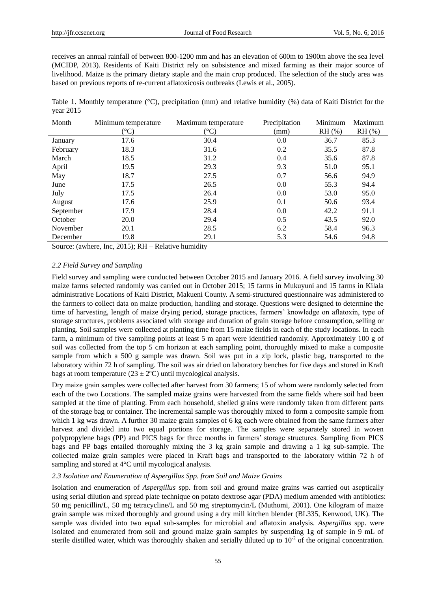receives an annual rainfall of between 800-1200 mm and has an elevation of 600m to 1900m above the sea level (MCIDP, 2013). Residents of Kaiti District rely on subsistence and mixed farming as their major source of livelihood. Maize is the primary dietary staple and the main crop produced. The selection of the study area was based on previous reports of re-current aflatoxicosis outbreaks (Lewis et al., 2005).

Table 1. Monthly temperature (°C), precipitation (mm) and relative humidity (%) data of Kaiti District for the year 2015

| Month     | Minimum temperature | Maximum temperature | Precipitation | Minimum      | Maximum      |
|-----------|---------------------|---------------------|---------------|--------------|--------------|
|           | $\mathbb{C}$        | $\mathcal{C}$       | (mm)          | $RH$ $(\% )$ | $RH$ $(\% )$ |
| January   | 17.6                | 30.4                | 0.0           | 36.7         | 85.3         |
| February  | 18.3                | 31.6                | 0.2           | 35.5         | 87.8         |
| March     | 18.5                | 31.2                | 0.4           | 35.6         | 87.8         |
| April     | 19.5                | 29.3                | 9.3           | 51.0         | 95.1         |
| May       | 18.7                | 27.5                | 0.7           | 56.6         | 94.9         |
| June      | 17.5                | 26.5                | 0.0           | 55.3         | 94.4         |
| July      | 17.5                | 26.4                | 0.0           | 53.0         | 95.0         |
| August    | 17.6                | 25.9                | 0.1           | 50.6         | 93.4         |
| September | 17.9                | 28.4                | 0.0           | 42.2         | 91.1         |
| October   | 20.0                | 29.4                | 0.5           | 43.5         | 92.0         |
| November  | 20.1                | 28.5                | 6.2           | 58.4         | 96.3         |
| December  | 19.8                | 29.1                | 5.3           | 54.6         | 94.8         |

Source: (awhere, Inc, 2015); RH – Relative humidity

# *2.2 Field Survey and Sampling*

Field survey and sampling were conducted between October 2015 and January 2016. A field survey involving 30 maize farms selected randomly was carried out in October 2015; 15 farms in Mukuyuni and 15 farms in Kilala administrative Locations of Kaiti District, Makueni County. A semi-structured questionnaire was administered to the farmers to collect data on maize production, handling and storage. Questions were designed to determine the time of harvesting, length of maize drying period, storage practices, farmers' knowledge on aflatoxin, type of storage structures, problems associated with storage and duration of grain storage before consumption, selling or planting. Soil samples were collected at planting time from 15 maize fields in each of the study locations. In each farm, a minimum of five sampling points at least 5 m apart were identified randomly. Approximately 100 g of soil was collected from the top 5 cm horizon at each sampling point, thoroughly mixed to make a composite sample from which a 500 g sample was drawn. Soil was put in a zip lock, plastic bag, transported to the laboratory within 72 h of sampling. The soil was air dried on laboratory benches for five days and stored in Kraft bags at room temperature (23  $\pm$  2 °C) until mycological analysis.

Dry maize grain samples were collected after harvest from 30 farmers; 15 of whom were randomly selected from each of the two Locations. The sampled maize grains were harvested from the same fields where soil had been sampled at the time of planting. From each household, shelled grains were randomly taken from different parts of the storage bag or container. The incremental sample was thoroughly mixed to form a composite sample from which 1 kg was drawn. A further 30 maize grain samples of 6 kg each were obtained from the same farmers after harvest and divided into two equal portions for storage. The samples were separately stored in woven polypropylene bags (PP) and PICS bags for three months in farmers' storage structures. Sampling from PICS bags and PP bags entailed thoroughly mixing the 3 kg grain sample and drawing a 1 kg sub-sample. The collected maize grain samples were placed in Kraft bags and transported to the laboratory within 72 h of sampling and stored at  $4^\circ$ C until mycological analysis.

# *2.3 Isolation and Enumeration of Aspergillus Spp. from Soil and Maize Grains*

Isolation and enumeration of *Aspergillus* spp. from soil and ground maize grains was carried out aseptically using serial dilution and spread plate technique on potato dextrose agar (PDA) medium amended with antibiotics: 50 mg penicillin/L, 50 mg tetracycline/L and 50 mg streptomycin/L (Muthomi, 2001). One kilogram of maize grain sample was mixed thoroughly and ground using a dry mill kitchen blender (BL335, Kenwood, UK). The sample was divided into two equal sub-samples for microbial and aflatoxin analysis. *Aspergillus* spp. were isolated and enumerated from soil and ground maize grain samples by suspending 1g of sample in 9 mL of sterile distilled water, which was thoroughly shaken and serially diluted up to  $10^{-2}$  of the original concentration.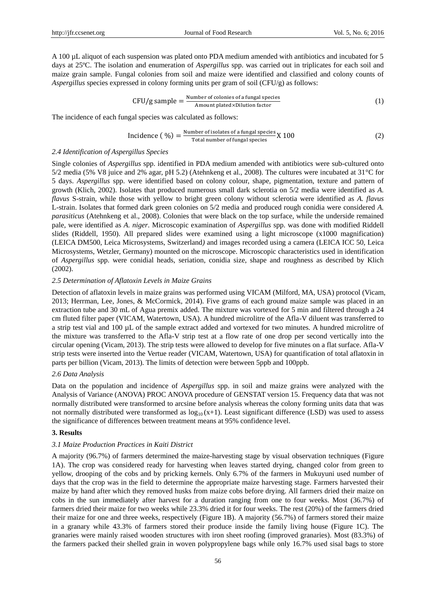A 100 µL aliquot of each suspension was plated onto PDA medium amended with antibiotics and incubated for 5 days at 25 °C. The isolation and enumeration of *Aspergillus* spp. was carried out in triplicates for each soil and maize grain sample. Fungal colonies from soil and maize were identified and classified and colony counts of *Aspergillus* species expressed in colony forming units per gram of soil (CFU/g) as follows:

CFU/g sample = 
$$
\frac{\text{Number of colonies of a fungal species}}{\text{Amount plated} \times \text{Dilution factor}}
$$
 (1)

The incidence of each fungal species was calculated as follows:

$$
Incidence ( %) = \frac{Number of isolates of a fungal species}{Total number of fungal species} X 100
$$
 (2)

## *2.4 Identification of Aspergillus Species*

Single colonies of *Aspergillus* spp. identified in PDA medium amended with antibiotics were sub-cultured onto 5/2 media (5% V8 juice and 2% agar, pH 5.2) (Atehnkeng et al., 2008). The cultures were incubated at 31°C for 5 days. *Aspergillus* spp. were identified based on colony colour, shape, pigmentation, texture and pattern of growth (Klich, 2002). Isolates that produced numerous small dark sclerotia on 5/2 media were identified as *A. flavus* S-strain, while those with yellow to bright green colony without sclerotia were identified as *A. flavus* L-strain. Isolates that formed dark green colonies on 5/2 media and produced rough conidia were considered *A. parasiticus* (Atehnkeng et al., 2008). Colonies that were black on the top surface, while the underside remained pale, were identified as *A. niger*. Microscopic examination of *Aspergillus* spp. was done with modified Riddell slides (Riddell, 1950). All prepared slides were examined using a light microscope (x1000 magnification) (LEICA DM500, Leica Microsystems, Switzerland*)* and images recorded using a camera (LEICA ICC 50, Leica Microsystems, Wetzler, Germany) mounted on the microscope. Microscopic characteristics used in identification of *Aspergillus* spp. were conidial heads, seriation, conidia size, shape and roughness as described by Klich (2002).

#### *2.5 Determination of Aflatoxin Levels in Maize Grains*

Detection of aflatoxin levels in maize grains was performed using VICAM (Milford, MA, USA) protocol (Vicam, 2013; Herrman, Lee, Jones, & McCormick, 2014). Five grams of each ground maize sample was placed in an extraction tube and 30 mL of Agua premix added. The mixture was vortexed for 5 min and filtered through a 24 cm fluted filter paper (VICAM, Watertown, USA). A hundred microlitre of the Afla-V diluent was transferred to a strip test vial and 100 µL of the sample extract added and vortexed for two minutes. A hundred microlitre of the mixture was transferred to the Afla-V strip test at a flow rate of one drop per second vertically into the circular opening (Vicam, 2013). The strip tests were allowed to develop for five minutes on a flat surface. Afla-V strip tests were inserted into the Vertue reader (VICAM, Watertown, USA) for quantification of total aflatoxin in parts per billion (Vicam, 2013). The limits of detection were between 5ppb and 100ppb.

#### *2.6 Data Analysis*

Data on the population and incidence of *Aspergillus* spp. in soil and maize grains were analyzed with the Analysis of Variance (ANOVA) PROC ANOVA procedure of GENSTAT version 15. Frequency data that was not normally distributed were transformed to arcsine before analysis whereas the colony forming units data that was not normally distributed were transformed as  $log_{10}(x+1)$ . Least significant difference (LSD) was used to assess the significance of differences between treatment means at 95% confidence level.

#### **3. Results**

#### *3.1 Maize Production Practices in Kaiti District*

A majority (96.7%) of farmers determined the maize-harvesting stage by visual observation techniques (Figure 1A). The crop was considered ready for harvesting when leaves started drying, changed color from green to yellow, drooping of the cobs and by pricking kernels. Only 6.7% of the farmers in Mukuyuni used number of days that the crop was in the field to determine the appropriate maize harvesting stage. Farmers harvested their maize by hand after which they removed husks from maize cobs before drying. All farmers dried their maize on cobs in the sun immediately after harvest for a duration ranging from one to four weeks. Most (36.7%) of farmers dried their maize for two weeks while 23.3% dried it for four weeks. The rest (20%) of the farmers dried their maize for one and three weeks, respectively (Figure 1B). A majority (56.7%) of farmers stored their maize in a granary while 43.3% of farmers stored their produce inside the family living house (Figure 1C). The granaries were mainly raised wooden structures with iron sheet roofing (improved granaries). Most (83.3%) of the farmers packed their shelled grain in woven polypropylene bags while only 16.7% used sisal bags to store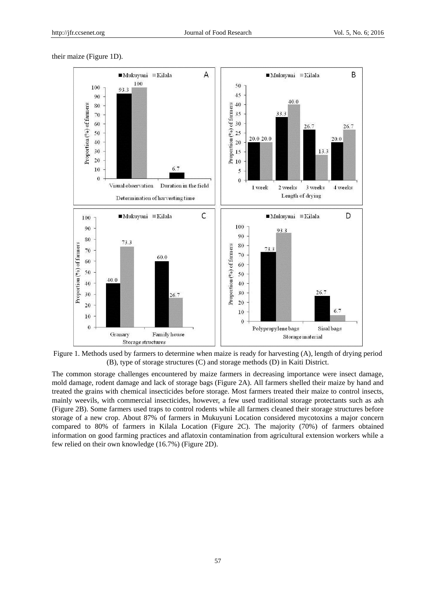# their maize (Figure 1D).



Figure 1. Methods used by farmers to determine when maize is ready for harvesting (A), length of drying period (B), type of storage structures (C) and storage methods (D) in Kaiti District.

The common storage challenges encountered by maize farmers in decreasing importance were insect damage, mold damage, rodent damage and lack of storage bags (Figure 2A). All farmers shelled their maize by hand and treated the grains with chemical insecticides before storage. Most farmers treated their maize to control insects, mainly weevils, with commercial insecticides, however, a few used traditional storage protectants such as ash (Figure 2B). Some farmers used traps to control rodents while all farmers cleaned their storage structures before storage of a new crop. About 87% of farmers in Mukuyuni Location considered mycotoxins a major concern compared to 80% of farmers in Kilala Location (Figure 2C). The majority (70%) of farmers obtained information on good farming practices and aflatoxin contamination from agricultural extension workers while a few relied on their own knowledge (16.7%) (Figure 2D).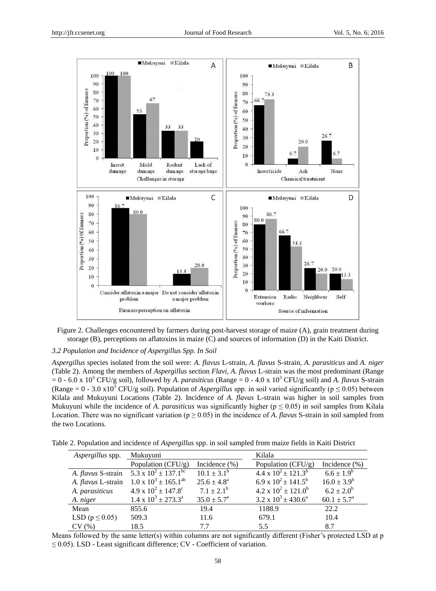



#### *3.2 Population and Incidence of Aspergillus Spp. In Soil*

*Aspergillus* species isolated from the soil were: *A. flavus* L-strain, *A. flavus* S-strain, *A. parasiticus* and *A. niger*  (Table 2). Among the members of *Aspergillus* section *Flavi*, *A. flavus* L-strain was the most predominant (Range  $= 0 - 6.0$  x 10<sup>3</sup> CFU/g soil), followed by *A. parasiticus* (Range  $= 0 - 4.0$  x 10<sup>3</sup> CFU/g soil) and *A. flavus* S-strain (Range =  $0 - 3.0 \times 10^3$  CFU/g soil). Population of *Aspergillus* spp. in soil varied significantly ( $p \le 0.05$ ) between Kilala and Mukuyuni Locations (Table 2). Incidence of *A. flavus* L-strain was higher in soil samples from Mukuyuni while the incidence of *A. parasiticus* was significantly higher ( $p \le 0.05$ ) in soil samples from Kilala Location. There was no significant variation ( $p \ge 0.05$ ) in the incidence of *A. flavus* S-strain in soil sampled from the two Locations.

Table 2. Population and incidence of *Aspergillus* spp. in soil sampled from maize fields in Kaiti District

| Aspergillus spp.      | Mukuyuni                                                     |                           | Kilala                        |                           |  |  |
|-----------------------|--------------------------------------------------------------|---------------------------|-------------------------------|---------------------------|--|--|
|                       | Population $(CFU/g)$                                         | Incidence $(\%)$          | Population $(CFU/g)$          | Incidence $(\% )$         |  |  |
|                       | A. <i>flavus</i> S-strain 5.3 x $10^2 \pm 137.1^{\text{bc}}$ | $10.1 \pm 3.1^b$          | 4.4 x $10^2 \pm 121.3^b$      | $6.6 \pm 1.9^b$           |  |  |
|                       | A. <i>flavus</i> L-strain $1.0 \times 10^3 \pm 165.1^{ab}$   | $25.6 \pm 4.8^{\circ}$    | 6.9 x $10^2 \pm 141.5^b$      | $16.0 \pm 3.9^b$          |  |  |
| A. parasiticus        | $4.9 \times 10^{2} \pm 147.8^{\circ}$                        | $7.1 \pm 2.1^b$           | $4.2 \times 10^2 \pm 121.0^b$ | $6.2 \pm 2.0^b$           |  |  |
| A. niger              | $1.4 \times 10^3 \pm 273.3^{\circ}$                          | $35.0 \pm 5.7^{\text{a}}$ | $3.2 \times 10^3 \pm 430.6^a$ | $60.1 \pm 5.7^{\text{a}}$ |  |  |
| Mean                  | 855.6                                                        | 19.4                      | 1188.9                        | 22.2                      |  |  |
| LSD ( $p \leq 0.05$ ) | 509.3                                                        | 11.6                      | 679.1                         | 10.4                      |  |  |
| CV(%)                 | 18.5                                                         | 7.7                       | 5.5                           | 8.7                       |  |  |

Means followed by the same letter(s) within columns are not significantly different (Fisher's protected LSD at p  $\leq$  0.05). LSD - Least significant difference; CV - Coefficient of variation.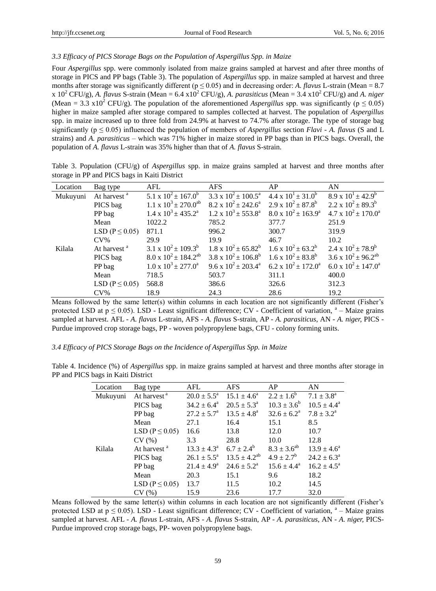# *3.3 Efficacy of PICS Storage Bags on the Population of Aspergillus Spp. in Maize*

Four *Aspergillus* spp. were commonly isolated from maize grains sampled at harvest and after three months of storage in PICS and PP bags (Table 3). The population of *Aspergillus* spp. in maize sampled at harvest and three months after storage was significantly different ( $p \le 0.05$ ) and in decreasing order: *A. flavus* L-strain (Mean = 8.7) x  $10^2$  CFU/g), *A. flavus* S-strain (Mean = 6.4 x10<sup>2</sup> CFU/g), *A. parasiticus* (Mean = 3.4 x10<sup>2</sup> CFU/g) and *A. niger* (Mean = 3.3 x10<sup>2</sup> CFU/g). The population of the aforementioned *Aspergillus* spp. was significantly ( $p \le 0.05$ ) higher in maize sampled after storage compared to samples collected at harvest. The population of *Aspergillus* spp. in maize increased up to three fold from 24.9% at harvest to 74.7% after storage. The type of storage bag significantly ( $p \le 0.05$ ) influenced the population of members of *Aspergillus* section *Flavi* - *A. flavus* (S and L strains) and *A. parasiticus* – which was 71% higher in maize stored in PP bags than in PICS bags. Overall, the population of *A. flavus* L-strain was 35% higher than that of *A. flavus* S-strain.

Table 3. Population (CFU/g) of *Aspergillus* spp. in maize grains sampled at harvest and three months after storage in PP and PICS bags in Kaiti District

| Location | Bag type                | AFL                                     | <b>AFS</b>                                                    | AP                            | AN.                           |
|----------|-------------------------|-----------------------------------------|---------------------------------------------------------------|-------------------------------|-------------------------------|
| Mukuyuni | At harvest <sup>a</sup> | 5.1 x $10^2 \pm 167.0^b$                | $\overline{3.3 \times 10^2} \pm 100.5^{\text{a}}$             | 4.4 x $10^1 \pm 31.0^6$       | 8.9 x $10^1 \pm 42.9^b$       |
|          | PICS bag                | $1.1 \times 10^3 \pm 270.0^{\text{ab}}$ | 8.2 x $10^2 \pm 242.6^a$                                      | 2.9 x $10^2 \pm 87.8^{\rm b}$ | 2.2 x $10^2 \pm 89.3^b$       |
|          | PP bag                  | 1.4 x $10^3 \pm 435.2^{\text{a}}$       | $1.2 \times 10^3 \pm 553.8^a$                                 | $8.0 \times 10^2 \pm 163.9^a$ | $4.7 \times 10^2 \pm 170.0^a$ |
|          | Mean                    | 1022.2                                  | 785.2                                                         | 377.7                         | 251.9                         |
|          | LSD ( $P \leq 0.05$ )   | 871.1                                   | 996.2                                                         | 300.7                         | 319.9                         |
|          | $CV\%$                  | 29.9                                    | 19.9                                                          | 46.7                          | 10.2                          |
| Kilala   | At harvest <sup>a</sup> | 3.1 x $10^2 \pm 109.3^b$                | $1.8 \times 10^{2} \pm 65.82^{b}$ 1.6 x $10^{2} \pm 63.2^{b}$ |                               | 2.4 x $10^2 \pm 78.9^b$       |
|          | PICS bag                | $8.0 \times 10^2 \pm 184.2^{ab}$        | $3.8 \times 10^2 \pm 106.8^b$ 1.6 x $10^2 \pm 83.8^b$         |                               | 3.6 x $10^2 \pm 96.2^{ab}$    |
|          | PP bag                  | $1.0 \times 10^3 \pm 277.0^4$           | 9.6 x $10^2 \pm 203.4^a$                                      | 6.2 x $10^2 \pm 172.0^a$      | 6.0 x $10^2 \pm 147.0^a$      |
|          | Mean                    | 718.5                                   | 503.7                                                         | 311.1                         | 400.0                         |
|          | LSD ( $P \leq 0.05$ )   | 568.8                                   | 386.6                                                         | 326.6                         | 312.3                         |
|          | $CV\%$                  | 18.9                                    | 24.3                                                          | 28.6                          | 19.2                          |

Means followed by the same letter(s) within columns in each location are not significantly different (Fisher's protected LSD at  $p \le 0.05$ ). LSD - Least significant difference; CV - Coefficient of variation,  $a -$ Maize grains sampled at harvest. AFL - *A. flavus* L-strain, AFS - *A. flavus* S-strain, AP - *A. parasiticus*, AN - *A. niger,* PICS - Purdue improved crop storage bags, PP - woven polypropylene bags, CFU - colony forming units.

# *3.4 Efficacy of PICS Storage Bags on the Incidence of Aspergillus Spp. in Maize*

| Table 4. Incidence (%) of Aspergillus spp. in maize grains sampled at harvest and three months after storage in |  |  |
|-----------------------------------------------------------------------------------------------------------------|--|--|
| PP and PICS bags in Kaiti District                                                                              |  |  |

| Location | Bag type                | AFL                              | <b>AFS</b>                | AP                     | AN                       |
|----------|-------------------------|----------------------------------|---------------------------|------------------------|--------------------------|
| Mukuyuni | At harvest <sup>a</sup> | $20.0 \pm 5.5^{\circ}$           | $15.1 \pm 4.6^{\circ}$    | $2.2 \pm 1.6^b$        | 7.1 $\pm 3.8^{\text{a}}$ |
|          | PICS bag                | $34.2 \pm 6.4^{\circ}$           | $20.5 \pm 5.3^{\circ}$    | $10.3 \pm 3.6^b$       | $10.5 \pm 4.4^a$         |
|          | PP bag                  | $27.2 \pm 5.7^{\circ}$           | $13.5 \pm 4.8^{\circ}$    | $32.6 \pm 6.2^{\circ}$ | $7.8 \pm 3.2^{\text{a}}$ |
|          | Mean                    | 27.1                             | 16.4                      | 15.1                   | 8.5                      |
|          | LSD ( $P \leq 0.05$ )   | 16.6                             | 13.8                      | 12.0                   | 10.7                     |
|          | CV(%)                   | 3.3                              | 28.8                      | 10.0                   | 12.8                     |
| Kilala   | At harvest <sup>a</sup> | $13.3 \pm 4.3^a$ 6.7 $\pm 2.4^b$ |                           | $8.3 \pm 3.6^{ab}$     | $13.9 \pm 4.6^{\circ}$   |
|          | PICS bag                | $26.1 \pm 5.5^{\circ}$           | $13.5 \pm 4.2^{ab}$       | $4.9 \pm 2.7^b$        | $24.2 \pm 6.3^{\circ}$   |
|          | PP bag                  | $21.4 \pm 4.9^{\circ}$           | $24.6 \pm 5.2^{\text{a}}$ | $15.6 \pm 4.4^{\circ}$ | $16.2 \pm 4.5^{\circ}$   |
|          | Mean                    | 20.3                             | 15.1                      | 9.6                    | 18.2                     |
|          | LSD ( $P \leq 0.05$ )   | 13.7                             | 11.5                      | 10.2                   | 14.5                     |
|          | CV(%)                   | 15.9                             | 23.6                      | 17.7                   | 32.0                     |

Means followed by the same letter(s) within columns in each location are not significantly different (Fisher's protected LSD at  $p \le 0.05$ ). LSD - Least significant difference; CV - Coefficient of variation,  $a -$ Maize grains sampled at harvest. AFL - *A. flavus* L-strain, AFS - *A. flavus* S-strain, AP - *A. parasiticus*, AN - *A. niger,* PICS-Purdue improved crop storage bags, PP- woven polypropylene bags.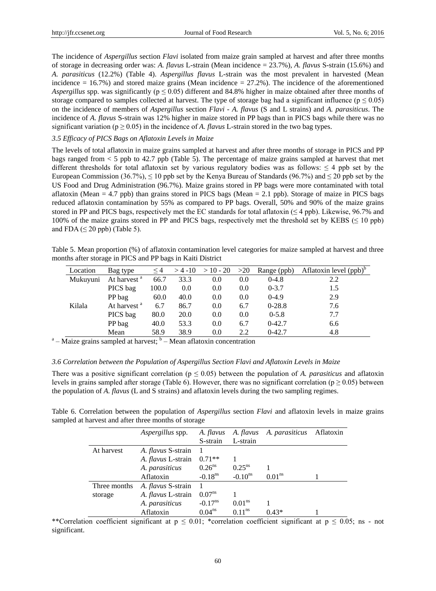The incidence of *Aspergillus* section *Flavi* isolated from maize grain sampled at harvest and after three months of storage in decreasing order was: *A. flavus* L-strain (Mean incidence = 23.7%), *A. flavus* S-strain (15.6%) and *A. parasiticus* (12.2%) (Table 4). *Aspergillus flavus* L-strain was the most prevalent in harvested (Mean incidence  $= 16.7\%$ ) and stored maize grains (Mean incidence  $= 27.2\%$ ). The incidence of the aforementioned *Aspergillus* spp. was significantly ( $p \le 0.05$ ) different and 84.8% higher in maize obtained after three months of storage compared to samples collected at harvest. The type of storage bag had a significant influence ( $p \le 0.05$ ) on the incidence of members of *Aspergillus* section *Flavi* - *A. flavus* (S and L strains) and *A. parasiticus*. The incidence of *A. flavus* S-strain was 12% higher in maize stored in PP bags than in PICS bags while there was no significant variation ( $p \ge 0.05$ ) in the incidence of *A. flavus* L-strain stored in the two bag types.

## *3.5 Efficacy of PICS Bags on Aflatoxin Levels in Maize*

The levels of total aflatoxin in maize grains sampled at harvest and after three months of storage in PICS and PP bags ranged from < 5 ppb to 42.7 ppb (Table 5). The percentage of maize grains sampled at harvest that met different thresholds for total aflatoxin set by various regulatory bodies was as follows:  $\leq 4$  ppb set by the European Commission (36.7%),  $\leq 10$  ppb set by the Kenya Bureau of Standards (96.7%) and  $\leq 20$  ppb set by the US Food and Drug Administration (96.7%). Maize grains stored in PP bags were more contaminated with total aflatoxin (Mean  $= 4.7$  ppb) than grains stored in PICS bags (Mean  $= 2.1$  ppb). Storage of maize in PICS bags reduced aflatoxin contamination by 55% as compared to PP bags. Overall, 50% and 90% of the maize grains stored in PP and PICS bags, respectively met the EC standards for total aflatoxin ( $\leq$  4 ppb). Likewise, 96.7% and 100% of the maize grains stored in PP and PICS bags, respectively met the threshold set by KEBS ( $\leq$  10 ppb) and FDA ( $\leq$  20 ppb) (Table 5).

Table 5. Mean proportion (%) of aflatoxin contamination level categories for maize sampled at harvest and three months after storage in PICS and PP bags in Kaiti District

| Location | Bag type                | $\leq 4$ |             | $>$ 4 -10 $>$ 10 - 20 | >20 | Range (ppb) | Aflatoxin level $(ppb)^b$ |
|----------|-------------------------|----------|-------------|-----------------------|-----|-------------|---------------------------|
| Mukuyuni | At harvest <sup>a</sup> | 66.7     | 33.3        | 0.0                   | 0.0 | $0-4.8$     | 2.2                       |
|          | PICS bag                | 100.0    | 0.0         | 0.0                   | 0.0 | $0 - 3.7$   | 1.5                       |
|          | PP bag                  | 60.0     | 40.0        | 0.0                   | 0.0 | $0-4.9$     | 2.9                       |
| Kilala   | At harvest <sup>a</sup> | 6.7      | 86.7        | 0.0                   | 6.7 | $0-28.8$    | 7.6                       |
|          | PICS bag                | 80.0     | <b>20.0</b> | 0.0                   | 0.0 | $0 - 5.8$   | 7.7                       |
|          | PP bag                  | 40.0     | 53.3        | 0.0                   | 6.7 | $0-42.7$    | 6.6                       |
|          | Mean                    | 58.9     | 38.9        | 0.0                   | 2.2 | $0-42.7$    | 4.8                       |

<sup>a</sup> – Maize grains sampled at harvest; <sup>b</sup> – Mean aflatoxin concentration

## *3.6 Correlation between the Population of Aspergillus Section Flavi and Aflatoxin Levels in Maize*

There was a positive significant correlation ( $p \le 0.05$ ) between the population of *A. parasiticus* and aflatoxin levels in grains sampled after storage (Table 6). However, there was no significant correlation ( $p \ge 0.05$ ) between the population of *A. flavus* (L and S strains) and aflatoxin levels during the two sampling regimes.

|  | Table 6. Correlation between the population of <i>Aspergillus</i> section <i>Flavi</i> and aflatoxin levels in maize grains |  |  |  |  |  |
|--|-----------------------------------------------------------------------------------------------------------------------------|--|--|--|--|--|
|  | sampled at harvest and after three months of storage                                                                        |  |  |  |  |  |

|              | <i>Aspergillus</i> spp.   | A. flavus             |                     | A. flavus A. parasiticus Aflatoxin |  |
|--------------|---------------------------|-----------------------|---------------------|------------------------------------|--|
|              |                           | S-strain              | L-strain            |                                    |  |
| At harvest   | A. flavus S-strain        |                       |                     |                                    |  |
|              | A. <i>flavus</i> L-strain | $0.71**$              |                     |                                    |  |
|              | A. parasiticus            | 0.26 <sup>ns</sup>    | $0.25^{\text{ns}}$  |                                    |  |
|              | Aflatoxin                 | $-0.18$ <sup>ns</sup> | $-0.10^{\text{ns}}$ | 0.01 <sup>ns</sup>                 |  |
| Three months | A. <i>flavus</i> S-strain |                       |                     |                                    |  |
| storage      | A. <i>flavus</i> L-strain | $0.07^{ns}$           |                     |                                    |  |
|              | A. parasiticus            | $-0.17$ <sup>ns</sup> | 0.01 <sup>ns</sup>  |                                    |  |
|              | Aflatoxin                 | $0.04^{ns}$           | $0.11^{ns}$         | $0.43*$                            |  |

\*\*Correlation coefficient significant at  $p \le 0.01$ ; \*correlation coefficient significant at  $p \le 0.05$ ; ns - not significant.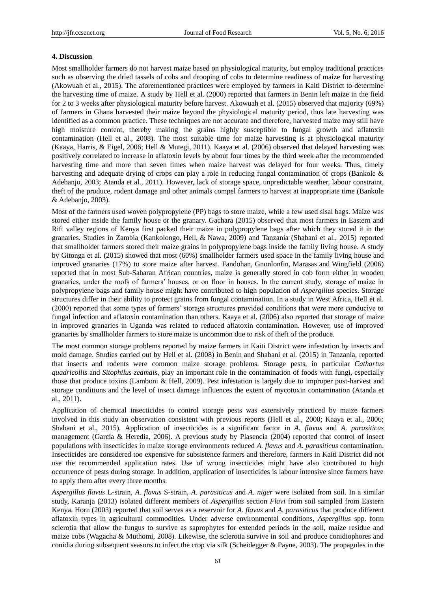#### **4. Discussion**

Most smallholder farmers do not harvest maize based on physiological maturity, but employ traditional practices such as observing the dried tassels of cobs and drooping of cobs to determine readiness of maize for harvesting (Akowuah et al., 2015). The aforementioned practices were employed by farmers in Kaiti District to determine the harvesting time of maize. A study by Hell et al. (2000) reported that farmers in Benin left maize in the field for 2 to 3 weeks after physiological maturity before harvest. Akowuah et al. (2015) observed that majority (69%) of farmers in Ghana harvested their maize beyond the physiological maturity period, thus late harvesting was identified as a common practice. These techniques are not accurate and therefore, harvested maize may still have high moisture content, thereby making the grains highly susceptible to fungal growth and aflatoxin contamination (Hell et al., 2008). The most suitable time for maize harvesting is at physiological maturity (Kaaya, Harris, & Eigel, 2006; Hell & Mutegi, 2011). Kaaya et al. (2006) observed that delayed harvesting was positively correlated to increase in aflatoxin levels by about four times by the third week after the recommended harvesting time and more than seven times when maize harvest was delayed for four weeks. Thus, timely harvesting and adequate drying of crops can play a role in reducing fungal contamination of crops (Bankole & Adebanjo, 2003; Atanda et al., 2011). However, lack of storage space, unpredictable weather, labour constraint, theft of the produce, rodent damage and other animals compel farmers to harvest at inappropriate time (Bankole & Adebanjo, 2003).

Most of the farmers used woven polypropylene (PP) bags to store maize, while a few used sisal bags. Maize was stored either inside the family house or the granary. Gachara (2015) observed that most farmers in Eastern and Rift valley regions of Kenya first packed their maize in polypropylene bags after which they stored it in the granaries. Studies in Zambia (Kankolongo, Hell, & Nawa, 2009) and Tanzania (Shabani et al., 2015) reported that smallholder farmers stored their maize grains in polypropylene bags inside the family living house. A study by Gitonga et al. (2015) showed that most (60%) smallholder farmers used space in the family living house and improved granaries (17%) to store maize after harvest. Fandohan, Gnonlonfin, Marasas and Wingfield (2006) reported that in most Sub-Saharan African countries, maize is generally stored in cob form either in wooden granaries, under the roofs of farmers' houses, or on floor in houses. In the current study, storage of maize in polypropylene bags and family house might have contributed to high population of *Aspergillus* species. Storage structures differ in their ability to protect grains from fungal contamination. In a study in West Africa, Hell et al. (2000) reported that some types of farmers' storage structures provided conditions that were more conducive to fungal infection and aflatoxin contamination than others. Kaaya et al. (2006) also reported that storage of maize in improved granaries in Uganda was related to reduced aflatoxin contamination. However, use of improved granaries by smallholder farmers to store maize is uncommon due to risk of theft of the produce.

The most common storage problems reported by maize farmers in Kaiti District were infestation by insects and mold damage. Studies carried out by Hell et al. (2008) in Benin and Shabani et al. (2015) in Tanzania, reported that insects and rodents were common maize storage problems. Storage pests, in particular *Cathartus quadricollis* and *Sitophilus zeamais*, play an important role in the contamination of foods with fungi, especially those that produce toxins (Lamboni & Hell, 2009). Pest infestation is largely due to improper post-harvest and storage conditions and the level of insect damage influences the extent of mycotoxin contamination (Atanda et al., 2011).

Application of chemical insecticides to control storage pests was extensively practiced by maize farmers involved in this study an observation consistent with previous reports (Hell et al., 2000; Kaaya et al., 2006; Shabani et al., 2015). Application of insecticides is a significant factor in *A. flavus* and *A. parasiticus* management (García & Heredia, 2006). A previous study by Plasencia (2004) reported that control of insect populations with insecticides in maize storage environments reduced *A. flavus* and *A. parasiticus* contamination. Insecticides are considered too expensive for subsistence farmers and therefore, farmers in Kaiti District did not use the recommended application rates. Use of wrong insecticides might have also contributed to high occurrence of pests during storage. In addition, application of insecticides is labour intensive since farmers have to apply them after every three months.

*Aspergillus flavus* L-strain, *A. flavus* S-strain, *A. parasiticus* and *A. niger* were isolated from soil. In a similar study, Karanja (2013) isolated different members of *Aspergillus* section *Flavi* from soil sampled from Eastern Kenya. Horn (2003) reported that soil serves as a reservoir for *A. flavus* and *A. parasiticus* that produce different aflatoxin types in agricultural commodities. Under adverse environmental conditions, *Aspergillus* spp. form sclerotia that allow the fungus to survive as saprophytes for extended periods in the soil, maize residue and maize cobs (Wagacha & Muthomi, 2008). Likewise, the sclerotia survive in soil and produce conidiophores and conidia during subsequent seasons to infect the crop via silk (Scheidegger & Payne, 2003). The propagules in the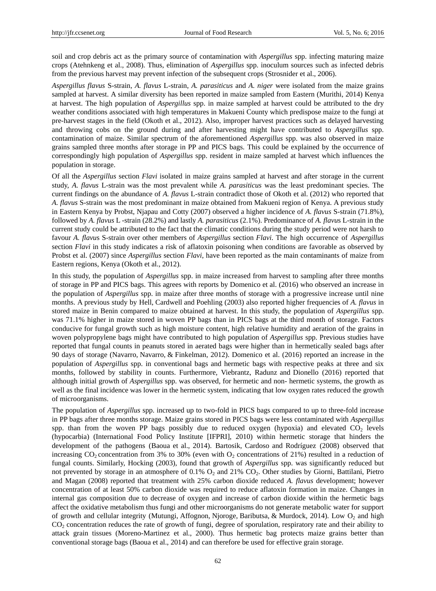soil and crop debris act as the primary source of contamination with *Aspergillus* spp. infecting maturing maize crops (Atehnkeng et al., 2008). Thus, elimination of *Aspergillus* spp. inoculum sources such as infected debris from the previous harvest may prevent infection of the subsequent crops (Strosnider et al., 2006).

*Aspergillus flavus* S-strain, *A. flavus* L-strain, *A. parasiticus* and *A. niger* were isolated from the maize grains sampled at harvest. A similar diversity has been reported in maize sampled from Eastern (Murithi, 2014) Kenya at harvest. The high population of *Aspergillus* spp. in maize sampled at harvest could be attributed to the dry weather conditions associated with high temperatures in Makueni County which predispose maize to the fungi at pre-harvest stages in the field (Okoth et al., 2012). Also, improper harvest practices such as delayed harvesting and throwing cobs on the ground during and after harvesting might have contributed to *Aspergillus* spp. contamination of maize. Similar spectrum of the aforementioned *Aspergillus* spp. was also observed in maize grains sampled three months after storage in PP and PICS bags*.* This could be explained by the occurrence of correspondingly high population of *Aspergillus* spp. resident in maize sampled at harvest which influences the population in storage.

Of all the *Aspergillus* section *Flavi* isolated in maize grains sampled at harvest and after storage in the current study, *A. flavus* L-strain was the most prevalent while *A. parasiticus* was the least predominant species. The current findings on the abundance of *A. flavus* L-strain contradict those of Okoth et al. (2012) who reported that *A. flavus* S-strain was the most predominant in maize obtained from Makueni region of Kenya. A previous study in Eastern Kenya by Probst, Njapau and Cotty (2007) observed a higher incidence of *A. flavus* S-strain (71.8%), followed by *A. flavus* L -strain (28.2%) and lastly *A. parasiticus* (2.1%). Predominance of *A. flavu*s L-strain in the current study could be attributed to the fact that the climatic conditions during the study period were not harsh to favour *A. flavu*s S-strain over other members of *Aspergillus* section *Flavi*. The high occurrence of *Aspergillus*  section *Flavi* in this study indicates a risk of aflatoxin poisoning when conditions are favorable as observed by Probst et al. (2007) since *Aspergillus* section *Flavi*, have been reported as the main contaminants of maize from Eastern regions, Kenya (Okoth et al., 2012).

In this study, the population of *Aspergillus* spp. in maize increased from harvest to sampling after three months of storage in PP and PICS bags. This agrees with reports by Domenico et al. (2016) who observed an increase in the population of *Aspergillus* spp. in maize after three months of storage with a progressive increase until nine months. A previous study by Hell, Cardwell and Poehling (2003) also reported higher frequencies of *A. flavus* in stored maize in Benin compared to maize obtained at harvest. In this study, the population of *Aspergillus* spp. was 71.1% higher in maize stored in woven PP bags than in PICS bags at the third month of storage. Factors conducive for fungal growth such as high moisture content, high relative humidity and aeration of the grains in woven polypropylene bags might have contributed to high population of *Aspergillus* spp. Previous studies have reported that fungal counts in peanuts stored in aerated bags were higher than in hermetically sealed bags after 90 days of storage (Navarro, Navarro, & Finkelman, 2012). Domenico et al. (2016) reported an increase in the population of *Aspergillus* spp. in conventional bags and hermetic bags with respective peaks at three and six months, followed by stability in counts. Furthermore, Viebrantz, Radunz and Dionello (2016) reported that although initial growth of *Aspergillus* spp. was observed, for hermetic and non- hermetic systems, the growth as well as the final incidence was lower in the hermetic system, indicating that low oxygen rates reduced the growth of microorganisms.

The population of *Aspergillus* spp. increased up to two-fold in PICS bags compared to up to three-fold increase in PP bags after three months storage. Maize grains stored in PICS bags were less contaminated with *Aspergillus* spp. than from the woven PP bags possibly due to reduced oxygen (hypoxia) and elevated  $CO<sub>2</sub>$  levels (hypocarbia) (International Food Policy Institute [IFPRI], 2010) within hermetic storage that hinders the development of the pathogens (Baoua et al., 2014). Bartosik, Cardoso and Rodr guez (2008) observed that increasing  $CO_2$  concentration from 3% to 30% (even with  $O_2$  concentrations of 21%) resulted in a reduction of fungal counts. Similarly, Hocking (2003), found that growth of *Aspergillus* spp. was significantly reduced but not prevented by storage in an atmosphere of  $0.1\%$  O<sub>2</sub> and  $21\%$  CO<sub>2</sub>. Other studies by Giorni, Battilani, Pietro and Magan (2008) reported that treatment with 25% carbon dioxide reduced *A. flavus* development; however concentration of at least 50% carbon dioxide was required to reduce aflatoxin formation in maize. Changes in internal gas composition due to decrease of oxygen and increase of carbon dioxide within the hermetic bags affect the oxidative metabolism thus fungi and other microorganisms do not generate metabolic water for support of growth and cellular integrity (Mutungi, Affognon, Njoroge, Baributsa, & Murdock, 2014). Low  $O_2$  and high  $CO<sub>2</sub>$  concentration reduces the rate of growth of fungi, degree of sporulation, respiratory rate and their ability to attack grain tissues (Moreno-Martinez et al., 2000). Thus hermetic bag protects maize grains better than conventional storage bags (Baoua et al., 2014) and can therefore be used for effective grain storage.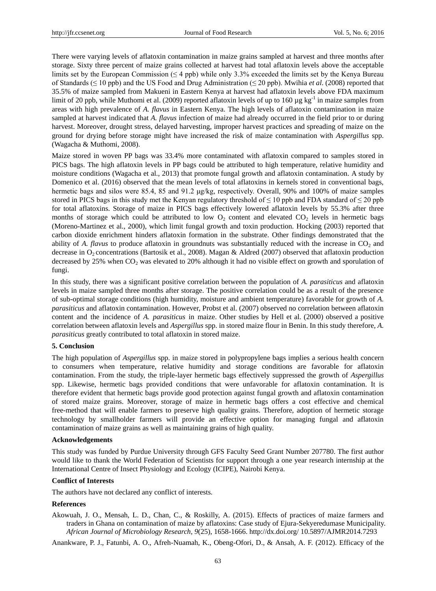There were varying levels of aflatoxin contamination in maize grains sampled at harvest and three months after storage. Sixty three percent of maize grains collected at harvest had total aflatoxin levels above the acceptable limits set by the European Commission ( $\leq 4$  ppb) while only 3.3% exceeded the limits set by the Kenya Bureau of Standards (≤ 10 ppb) and the US Food and Drug Administration (≤ 20 ppb). Mwihia *et al*. (2008) reported that 35.5% of maize sampled from Makueni in Eastern Kenya at harvest had aflatoxin levels above FDA maximum limit of 20 ppb, while Muthomi et al. (2009) reported aflatoxin levels of up to 160 µg kg<sup>-1</sup> in maize samples from areas with high prevalence of *A. flavus* in Eastern Kenya. The high levels of aflatoxin contamination in maize sampled at harvest indicated that *A. flavus* infection of maize had already occurred in the field prior to or during harvest. Moreover, drought stress, delayed harvesting, improper harvest practices and spreading of maize on the ground for drying before storage might have increased the risk of maize contamination with *Aspergillus* spp. (Wagacha & Muthomi, 2008).

Maize stored in woven PP bags was 33.4% more contaminated with aflatoxin compared to samples stored in PICS bags. The high aflatoxin levels in PP bags could be attributed to high temperature, relative humidity and moisture conditions (Wagacha et al., 2013) that promote fungal growth and aflatoxin contamination. A study by Domenico et al. (2016) observed that the mean levels of total aflatoxins in kernels stored in conventional bags, hermetic bags and silos were 85.4, 85 and 91.2 μg/kg, respectively. Overall, 90% and 100% of maize samples stored in PICS bags in this study met the Kenyan regulatory threshold of  $\leq 10$  ppb and FDA standard of  $\leq 20$  ppb for total aflatoxins. Storage of maize in PICS bags effectively lowered aflatoxin levels by 55.3% after three months of storage which could be attributed to low  $O_2$  content and elevated  $CO_2$  levels in hermetic bags (Moreno-Martinez et al., 2000), which limit fungal growth and toxin production. Hocking (2003) reported that carbon dioxide enrichment hinders aflatoxin formation in the substrate. Other findings demonstrated that the ability of *A. flavus* to produce aflatoxin in groundnuts was substantially reduced with the increase in CO<sub>2</sub> and decrease in O<sub>2</sub> concentrations (Bartosik et al., 2008). Magan & Aldred (2007) observed that aflatoxin production decreased by 25% when  $CO<sub>2</sub>$  was elevated to 20% although it had no visible effect on growth and sporulation of fungi.

In this study, there was a significant positive correlation between the population of *A. parasiticus* and aflatoxin levels in maize sampled three months after storage. The positive correlation could be as a result of the presence of sub-optimal storage conditions (high humidity, moisture and ambient temperature) favorable for growth of *A. parasiticus* and aflatoxin contamination. However, Probst et al. (2007) observed no correlation between aflatoxin content and the incidence of *A. parasiticus* in maize. Other studies by Hell et al. (2000) observed a positive correlation between aflatoxin levels and *Aspergillus* spp. in stored maize flour in Benin. In this study therefore, *A. parasiticus* greatly contributed to total aflatoxin in stored maize.

# **5. Conclusion**

The high population of *Aspergillus* spp. in maize stored in polypropylene bags implies a serious health concern to consumers when temperature, relative humidity and storage conditions are favorable for aflatoxin contamination. From the study, the triple-layer hermetic bags effectively suppressed the growth of *Aspergillus* spp. Likewise, hermetic bags provided conditions that were unfavorable for aflatoxin contamination. It is therefore evident that hermetic bags provide good protection against fungal growth and aflatoxin contamination of stored maize grains. Moreover, storage of maize in hermetic bags offers a cost effective and chemical free-method that will enable farmers to preserve high quality grains. Therefore, adoption of hermetic storage technology by smallholder farmers will provide an effective option for managing fungal and aflatoxin contamination of maize grains as well as maintaining grains of high quality.

# **Acknowledgements**

This study was funded by Purdue University through GFS Faculty Seed Grant Number 207780. The first author would like to thank the World Federation of Scientists for support through a one year research internship at the International Centre of Insect Physiology and Ecology (ICIPE), Nairobi Kenya.

# **Conflict of Interests**

The authors have not declared any conflict of interests.

# **References**

Akowuah, J. O., Mensah, L. D., Chan, C., & Roskilly, A. (2015). Effects of practices of maize farmers and traders in Ghana on contamination of maize by aflatoxins: Case study of Ejura-Sekyeredumase Municipality. *African Journal of Microbiology Research*, *9*(25), 1658-1666. http://dx.doi.org/ 10.5897/AJMR2014.7293

Anankware, P. J., Fatunbi, A. O., Afreh-Nuamah, K., Obeng-Ofori, D., & Ansah, A. F. (2012). Efficacy of the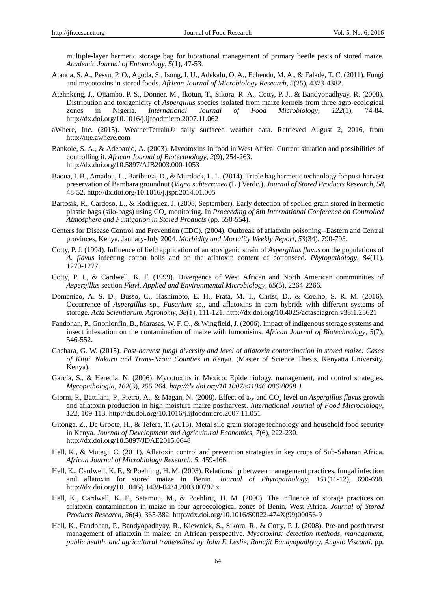multiple-layer hermetic storage bag for biorational management of primary beetle pests of stored maize. *Academic Journal of Entomology*, *5*(1), 47-53.

- Atanda, S. A., Pessu, P. O., Agoda, S., Isong, I. U., Adekalu, O. A., Echendu, M. A., & Falade, T. C. (2011). Fungi and mycotoxins in stored foods. *African Journal of Microbiology Research*, *5*(25), 4373-4382.
- Atehnkeng, J., Ojiambo, P. S., Donner, M., Ikotun, T., Sikora, R. A., Cotty, P. J., & Bandyopadhyay, R. (2008). Distribution and toxigenicity of *Aspergillus* species isolated from maize kernels from three agro-ecological zones in Nigeria. *International Journal of Food Microbiology*, *122*(1), 74-84. http://dx.doi.org/10.1016/j.ijfoodmicro.2007.11.062
- aWhere, Inc. (2015). WeatherTerrain® daily surfaced weather data. Retrieved August 2, 2016, from http://me.awhere.com
- Bankole, S. A., & Adebanjo, A. (2003). Mycotoxins in food in West Africa: Current situation and possibilities of controlling it. *African Journal of Biotechnology*, *2*(9), 254-263. http://dx.doi.org/10.5897/AJB2003.000-1053
- Baoua, I. B., Amadou, L., Baributsa, D., & Murdock, L. L. (2014). Triple bag hermetic technology for post-harvest preservation of Bambara groundnut (*Vigna subterranea* (L.) Verdc.). *Journal of Stored Products Research*, *58*, 48-52. <http://dx.doi.org/10.1016/j.jspr.2014.01.005>
- Bartosik, R., Cardoso, L., & Rodr guez, J. (2008, September). Early detection of spoiled grain stored in hermetic plastic bags (silo-bags) using CO<sup>2</sup> monitoring. In *Proceeding of 8th International Conference on Controlled Atmosphere and Fumigation in Stored Products* (pp. 550-554).
- Centers for Disease Control and Prevention (CDC). (2004). Outbreak of aflatoxin poisoning--Eastern and Central provinces, Kenya, January-July 2004. *Morbidity and Mortality Weekly Report*, *53*(34), 790-793.
- Cotty, P. J. (1994). Influence of field application of an atoxigenic strain of *Aspergillus flavus* on the populations of *A. flavus* infecting cotton bolls and on the aflatoxin content of cottonseed. *Phytopathology*, *84*(11), 1270-1277.
- Cotty, P. J., & Cardwell, K. F. (1999). Divergence of West African and North American communities of *Aspergillus* section *Flavi*. *Applied and Environmental Microbiology*, *65*(5), 2264-2266.
- Domenico, A. S. D., Busso, C., Hashimoto, E. H., Frata, M. T., Christ, D., & Coelho, S. R. M. (2016). Occurrence of *Aspergillus* sp., *Fusarium* sp., and aflatoxins in corn hybrids with different systems of storage. *Acta Scientiarum. Agronomy*, *38*(1), 111-121. http://dx.doi.org/10.4025/actasciagron.v38i1.25621
- Fandohan, P., Gnonlonfin, B., Marasas, W. F. O., & Wingfield, J. (2006). Impact of indigenous storage systems and insect infestation on the contamination of maize with fumonisins. *African Journal of Biotechnology*, *5*(7), 546-552.
- Gachara, G. W. (2015). *Post-harvest fungi diversity and level of aflatoxin contamination in stored maize: Cases of Kitui, Nakuru and Trans-Nzoia Counties in Kenya*. (Master of Science Thesis, Kenyatta University, Kenya).
- Garc á, S., & Heredia, N. (2006). Mycotoxins in Mexico: Epidemiology, management, and control strategies. *Mycopathologia*, *162*(3), 255-264. *http://dx.doi.org/10.1007/s11046-006-0058-1*
- Giorni, P., Battilani, P., Pietro, A., & Magan, N. (2008). Effect of a<sub>W</sub> and CO<sub>2</sub> level on *Aspergillus flavus* growth and aflatoxin production in high moisture maize postharvest. *International Journal of Food Microbiology*, *122*, 109-113.<http://dx.doi.org/10.1016/j.ijfoodmicro.2007.11.051>
- Gitonga, Z., De Groote, H., & Tefera, T. (2015). Metal silo grain storage technology and household food security in Kenya. *Journal of Development and Agricultural Economics*, *7*(6), 222-230. http://dx.doi.org/10.5897/JDAE2015.0648
- Hell, K., & Mutegi, C. (2011). Aflatoxin control and prevention strategies in key crops of Sub-Saharan Africa. *African Journal of Microbiology Research*, *5*, 459-466.
- Hell, K., Cardwell, K. F., & Poehling, H. M. (2003). Relationship between management practices, fungal infection and aflatoxin for stored maize in Benin. *Journal of Phytopathology*, *151*(11‐12), 690-698. http://dx.doi.org/10.1046/j.1439-0434.2003.00792.x
- Hell, K., Cardwell, K. F., Setamou, M., & Poehling, H. M. (2000). The influence of storage practices on aflatoxin contamination in maize in four agroecological zones of Benin, West Africa. *Journal of Stored Products Research*, *36*(4), 365-382. [http://dx.doi.org/10.1016/S0022-474X\(99\)00056-9](http://dx.doi.org/10.1016/S0022-474X%2899%2900056-9)
- Hell, K., Fandohan, P., Bandyopadhyay, R., Kiewnick, S., Sikora, R., & Cotty, P. J. (2008). Pre-and postharvest management of aflatoxin in maize: an African perspective. *Mycotoxins: detection methods, management, public health, and agricultural trade/edited by John F. Leslie, Ranajit Bandyopadhyay, Angelo Visconti*, pp.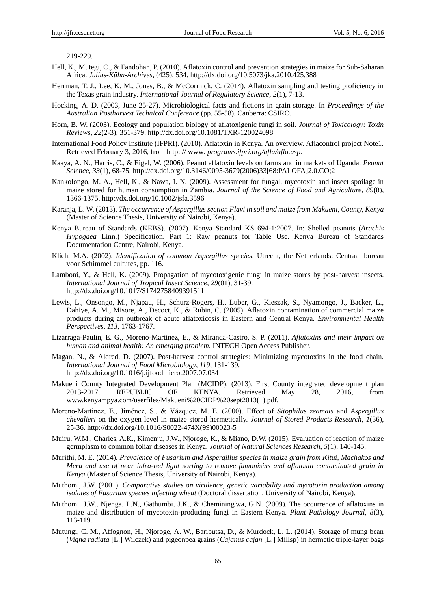219-229.

- Hell, K., Mutegi, C., & Fandohan, P. (2010). Aflatoxin control and prevention strategies in maize for Sub-Saharan Africa. *Julius-Kühn-Archives*, (425), 534. http://dx.doi.org/10.5073/jka.2010.425.388
- Herrman, T. J., Lee, K. M., Jones, B., & McCormick, C. (2014). Aflatoxin sampling and testing proficiency in the Texas grain industry. *International Journal of Regulatory Science*, *2*(1), 7-13.
- Hocking, A. D. (2003, June 25-27). Microbiological facts and fictions in grain storage. In *Proceedings of the Australian Postharvest Technical Conference* (pp. 55-58). Canberra: CSIRO.
- Horn, B. W. (2003). Ecology and population biology of aflatoxigenic fungi in soil. *Journal of Toxicology: Toxin Reviews*, *22*(2-3), 351-379. http://dx.doi.org/10.1081/TXR-120024098
- International Food Policy Institute (IFPRI). (2010). Aflatoxin in Kenya. An overview. Aflacontrol project Note1. Retrieved February 3, 2016, from http: // www*. programs.ifpri.org/afla/afla.asp.*
- Kaaya, A. N., Harris, C., & Eigel, W. (2006). Peanut aflatoxin levels on farms and in markets of Uganda. *Peanut Science*, *33*(1), 68-75. http://dx.doi.org/10.3146/0095-3679(2006)33[68:PALOFA]2.0.CO;2
- Kankolongo, M. A., Hell, K., & Nawa, I. N. (2009). Assessment for fungal, mycotoxin and insect spoilage in maize stored for human consumption in Zambia. *Journal of the Science of Food and Agriculture*, *89*(8), 1366-1375. http://dx.doi.org/10.1002/jsfa.3596
- Karanja, L. W. (2013). *The occurrence of Aspergillus section Flavi in soil and maize from Makueni, County, Kenya* (Master of Science Thesis, University of Nairobi, Kenya).
- Kenya Bureau of Standards (KEBS). (2007). Kenya Standard KS 694-1:2007. In: Shelled peanuts (*Arachis Hypogaea* Linn.) Specification. Part 1: Raw peanuts for Table Use. Kenya Bureau of Standards Documentation Centre, Nairobi, Kenya.
- Klich, M.A. (2002). *Identification of common Aspergillus species*. Utrecht, the Netherlands: Centraal bureau voor Schimmel cultures, pp. 116.
- Lamboni, Y., & Hell, K. (2009). Propagation of mycotoxigenic fungi in maize stores by post-harvest insects. *International Journal of Tropical Insect Science*, *29*(01), 31-39. http://dx.doi.org/10.1017/S1742758409391511
- Lewis, L., Onsongo, M., Njapau, H., Schurz-Rogers, H., Luber, G., Kieszak, S., Nyamongo, J., Backer, L., Dahiye, A. M., Misore, A., Decoct, K., & Rubin, C. (2005). Aflatoxin contamination of commercial maize products during an outbreak of acute aflatoxicosis in Eastern and Central Kenya. *Environmental Health Perspectives*, *113*, 1763-1767.
- Lizárraga-Paulín, E. G., Moreno-Martínez, E., & Miranda-Castro, S. P. (2011). *Aflatoxins and their impact on human and animal health: An emerging problem.* INTECH Open Access Publisher.
- Magan, N., & Aldred, D. (2007). Post-harvest control strategies: Minimizing mycotoxins in the food chain. *International Journal of Food Microbiology*, *119*, 131-139. http://dx.doi.org/10.1016/j.ijfoodmicro.2007.07.034
- Makueni County Integrated Development Plan (MCIDP). (2013). First County integrated development plan 2013-2017. REPUBLIC OF KENYA. Retrieved May 28, 2016, from [www.kenyampya.com/userfiles/Makueni%20CIDP%20sept2013\(1\).pdf](http://www.kenyampya.com/userfiles/Makueni%20CIDP%20sept2013(1).pdf)*.*
- Moreno-Martinez, E., Jiménez, S., & Vázquez, M. E. (2000). Effect of *Sitophilus zeamais* and *Aspergillus chevalieri* on the oxygen level in maize stored hermetically. *Journal of Stored Products Research*, *1*(36), 25-36. http://dx.doi.org/10.1016/S0022-474X(99)00023-5
- Muiru, W.M., Charles, A.K., Kimenju, J.W., Njoroge, K., & Miano, D.W. (2015). Evaluation of reaction of maize germplasm to common foliar diseases in Kenya. *Journal of Natural Sciences Research*, *5*(1)*,* 140-145.
- Murithi, M. E. (2014). *Prevalence of Fusarium and Aspergillus species in maize grain from Kitui, Machakos and Meru and use of near infra-red light sorting to remove fumonisins and aflatoxin contaminated grain in Kenya* (Master of Science Thesis, University of Nairobi, Kenya).
- Muthomi, J.W. (2001). *Comparative studies on virulence, genetic variability and mycotoxin production among isolates of Fusarium species infecting wheat* (Doctoral dissertation, University of Nairobi, Kenya).
- Muthomi, J.W., Njenga, L.N., Gathumbi, J.K., & Chemining'wa, G.N. (2009). The occurrence of aflatoxins in maize and distribution of mycotoxin-producing fungi in Eastern Kenya. *Plant Pathology Journal*, *8*(3), 113-119.
- Mutungi, C. M., Affognon, H., Njoroge, A. W., Baributsa, D., & Murdock, L. L. (2014). Storage of mung bean (*Vigna radiata* [L.] Wilczek) and pigeonpea grains (*Cajanus cajan* [L.] Millsp) in hermetic triple-layer bags